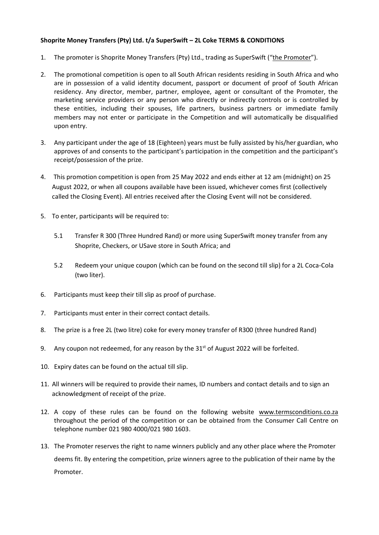## **Shoprite Money Transfers (Pty) Ltd. t/a SuperSwift – 2L Coke TERMS & CONDITIONS**

- 1. The promoter is Shoprite Money Transfers (Pty) Ltd., trading as SuperSwift ("the Promoter").
- 2. The promotional competition is open to all South African residents residing in South Africa and who are in possession of a valid identity document, passport or document of proof of South African residency. Any director, member, partner, employee, agent or consultant of the Promoter, the marketing service providers or any person who directly or indirectly controls or is controlled by these entities, including their spouses, life partners, business partners or immediate family members may not enter or participate in the Competition and will automatically be disqualified upon entry.
- 3. Any participant under the age of 18 (Eighteen) years must be fully assisted by his/her guardian, who approves of and consents to the participant's participation in the competition and the participant's receipt/possession of the prize.
- 4. This promotion competition is open from 25 May 2022 and ends either at 12 am (midnight) on 25 August 2022, or when all coupons available have been issued, whichever comes first (collectively called the Closing Event). All entries received after the Closing Event will not be considered.
- 5. To enter, participants will be required to:
	- 5.1 Transfer R 300 (Three Hundred Rand) or more using SuperSwift money transfer from any Shoprite, Checkers, or USave store in South Africa; and
	- 5.2 Redeem your unique coupon (which can be found on the second till slip) for a 2L Coca-Cola (two liter).
- 6. Participants must keep their till slip as proof of purchase.
- 7. Participants must enter in their correct contact details.
- 8. The prize is a free 2L (two litre) coke for every money transfer of R300 (three hundred Rand)
- 9. Any coupon not redeemed, for any reason by the  $31<sup>st</sup>$  of August 2022 will be forfeited.
- 10. Expiry dates can be found on the actual till slip.
- 11. All winners will be required to provide their names, ID numbers and contact details and to sign an acknowledgment of receipt of the prize.
- 12. A copy of these rules can be found on the following website [www.termsconditions.co.za](http://www.termsconditions.co.za/) throughout the period of the competition or can be obtained from the Consumer Call Centre on telephone number 021 980 4000/021 980 1603.
- 13. The Promoter reserves the right to name winners publicly and any other place where the Promoter deems fit. By entering the competition, prize winners agree to the publication of their name by the Promoter.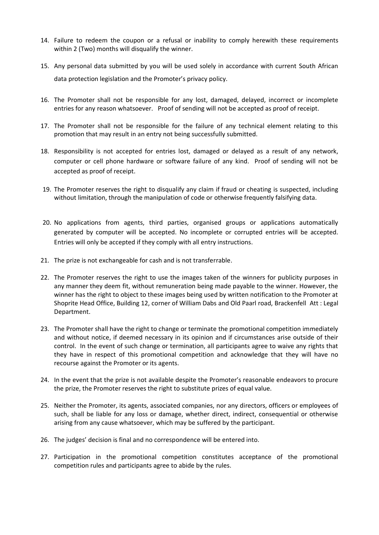- 14. Failure to redeem the coupon or a refusal or inability to comply herewith these requirements within 2 (Two) months will disqualify the winner.
- 15. Any personal data submitted by you will be used solely in accordance with current South African data protection legislation and the Promoter's privacy policy.
- 16. The Promoter shall not be responsible for any lost, damaged, delayed, incorrect or incomplete entries for any reason whatsoever. Proof of sending will not be accepted as proof of receipt.
- 17. The Promoter shall not be responsible for the failure of any technical element relating to this promotion that may result in an entry not being successfully submitted.
- 18. Responsibility is not accepted for entries lost, damaged or delayed as a result of any network, computer or cell phone hardware or software failure of any kind. Proof of sending will not be accepted as proof of receipt.
- 19. The Promoter reserves the right to disqualify any claim if fraud or cheating is suspected, including without limitation, through the manipulation of code or otherwise frequently falsifying data.
- 20. No applications from agents, third parties, organised groups or applications automatically generated by computer will be accepted. No incomplete or corrupted entries will be accepted. Entries will only be accepted if they comply with all entry instructions.
- 21. The prize is not exchangeable for cash and is not transferrable.
- 22. The Promoter reserves the right to use the images taken of the winners for publicity purposes in any manner they deem fit, without remuneration being made payable to the winner. However, the winner has the right to object to these images being used by written notification to the Promoter at Shoprite Head Office, Building 12, corner of William Dabs and Old Paarl road, Brackenfell Att : Legal Department.
- 23. The Promoter shall have the right to change or terminate the promotional competition immediately and without notice, if deemed necessary in its opinion and if circumstances arise outside of their control. In the event of such change or termination, all participants agree to waive any rights that they have in respect of this promotional competition and acknowledge that they will have no recourse against the Promoter or its agents.
- 24. In the event that the prize is not available despite the Promoter's reasonable endeavors to procure the prize, the Promoter reserves the right to substitute prizes of equal value.
- 25. Neither the Promoter, its agents, associated companies, nor any directors, officers or employees of such, shall be liable for any loss or damage, whether direct, indirect, consequential or otherwise arising from any cause whatsoever, which may be suffered by the participant.
- 26. The judges' decision is final and no correspondence will be entered into.
- 27. Participation in the promotional competition constitutes acceptance of the promotional competition rules and participants agree to abide by the rules.